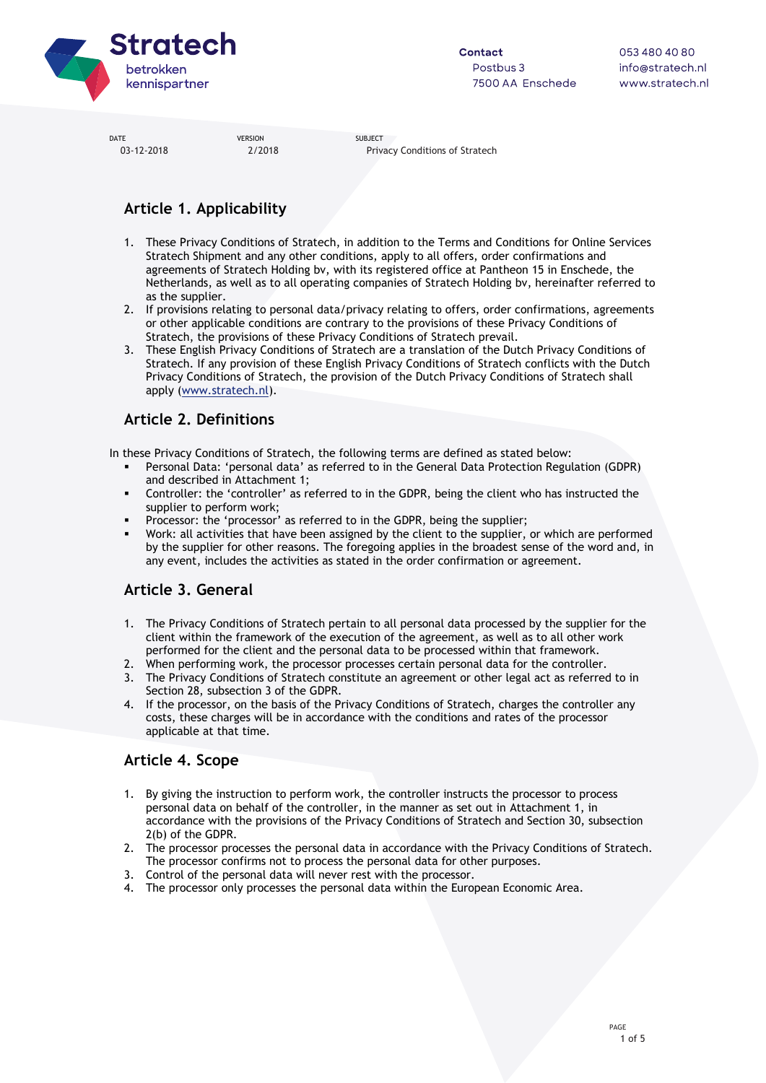

03-12-2018 2/2018 Privacy Conditions of Stratech

# **Article 1. Applicability**

- 1. These Privacy Conditions of Stratech, in addition to the Terms and Conditions for Online Services Stratech Shipment and any other conditions, apply to all offers, order confirmations and agreements of Stratech Holding bv, with its registered office at Pantheon 15 in Enschede, the Netherlands, as well as to all operating companies of Stratech Holding bv, hereinafter referred to as the supplier.
- 2. If provisions relating to personal data/privacy relating to offers, order confirmations, agreements or other applicable conditions are contrary to the provisions of these Privacy Conditions of Stratech, the provisions of these Privacy Conditions of Stratech prevail.
- 3. These English Privacy Conditions of Stratech are a translation of the Dutch Privacy Conditions of Stratech. If any provision of these English Privacy Conditions of Stratech conflicts with the Dutch Privacy Conditions of Stratech, the provision of the Dutch Privacy Conditions of Stratech shall apply [\(www.stratech.nl\)](http://www.stratech.nl/).

## **Article 2. Definitions**

In these Privacy Conditions of Stratech, the following terms are defined as stated below:

- Personal Data: 'personal data' as referred to in the General Data Protection Regulation (GDPR) and described in Attachment 1;
- Controller: the 'controller' as referred to in the GDPR, being the client who has instructed the supplier to perform work;
- Processor: the 'processor' as referred to in the GDPR, being the supplier;
- Work: all activities that have been assigned by the client to the supplier, or which are performed by the supplier for other reasons. The foregoing applies in the broadest sense of the word and, in any event, includes the activities as stated in the order confirmation or agreement.

## **Article 3. General**

- 1. The Privacy Conditions of Stratech pertain to all personal data processed by the supplier for the client within the framework of the execution of the agreement, as well as to all other work performed for the client and the personal data to be processed within that framework.
- 2. When performing work, the processor processes certain personal data for the controller.
- The Privacy Conditions of Stratech constitute an agreement or other legal act as referred to in Section 28, subsection 3 of the GDPR.
- 4. If the processor, on the basis of the Privacy Conditions of Stratech, charges the controller any costs, these charges will be in accordance with the conditions and rates of the processor applicable at that time.

## **Article 4. Scope**

- 1. By giving the instruction to perform work, the controller instructs the processor to process personal data on behalf of the controller, in the manner as set out in Attachment 1, in accordance with the provisions of the Privacy Conditions of Stratech and Section 30, subsection 2(b) of the GDPR.
- 2. The processor processes the personal data in accordance with the Privacy Conditions of Stratech. The processor confirms not to process the personal data for other purposes.
- 3. Control of the personal data will never rest with the processor.
- The processor only processes the personal data within the European Economic Area.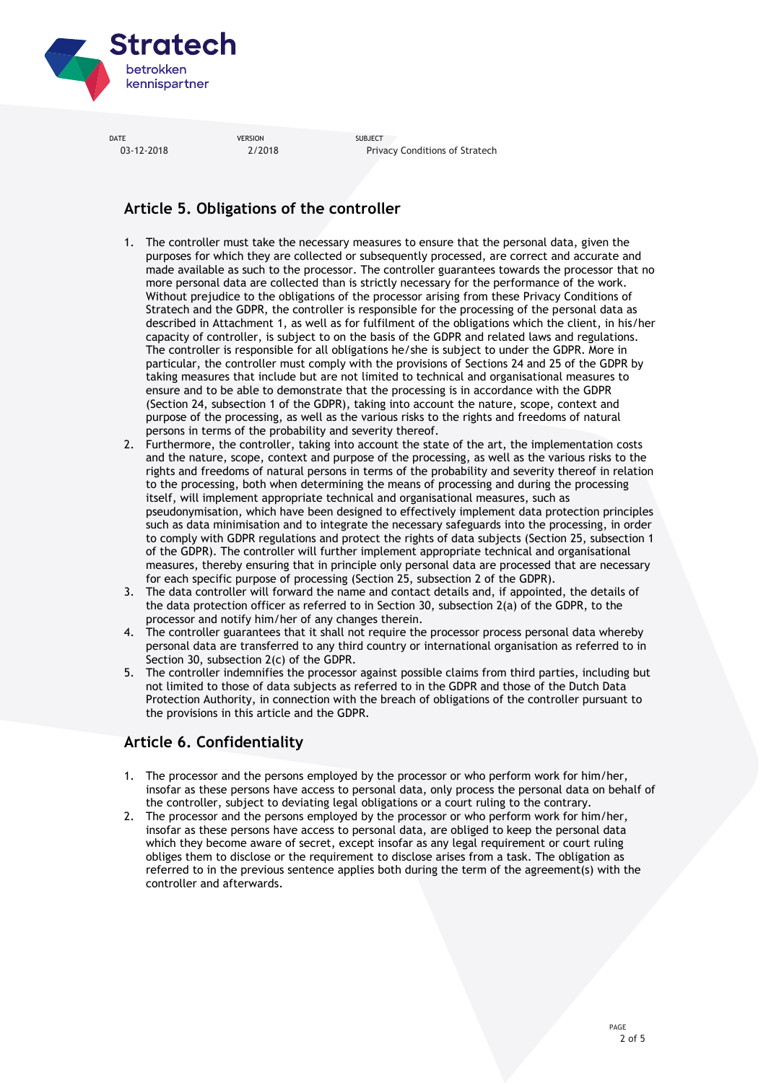

03-12-2018 2/2018 Privacy Conditions of Stratech

# **Article 5. Obligations of the controller**

- 1. The controller must take the necessary measures to ensure that the personal data, given the purposes for which they are collected or subsequently processed, are correct and accurate and made available as such to the processor. The controller guarantees towards the processor that no more personal data are collected than is strictly necessary for the performance of the work. Without prejudice to the obligations of the processor arising from these Privacy Conditions of Stratech and the GDPR, the controller is responsible for the processing of the personal data as described in Attachment 1, as well as for fulfilment of the obligations which the client, in his/her capacity of controller, is subject to on the basis of the GDPR and related laws and regulations. The controller is responsible for all obligations he/she is subject to under the GDPR. More in particular, the controller must comply with the provisions of Sections 24 and 25 of the GDPR by taking measures that include but are not limited to technical and organisational measures to ensure and to be able to demonstrate that the processing is in accordance with the GDPR (Section 24, subsection 1 of the GDPR), taking into account the nature, scope, context and purpose of the processing, as well as the various risks to the rights and freedoms of natural persons in terms of the probability and severity thereof.
- 2. Furthermore, the controller, taking into account the state of the art, the implementation costs and the nature, scope, context and purpose of the processing, as well as the various risks to the rights and freedoms of natural persons in terms of the probability and severity thereof in relation to the processing, both when determining the means of processing and during the processing itself, will implement appropriate technical and organisational measures, such as pseudonymisation, which have been designed to effectively implement data protection principles such as data minimisation and to integrate the necessary safeguards into the processing, in order to comply with GDPR regulations and protect the rights of data subjects (Section 25, subsection 1 of the GDPR). The controller will further implement appropriate technical and organisational measures, thereby ensuring that in principle only personal data are processed that are necessary for each specific purpose of processing (Section 25, subsection 2 of the GDPR).
- 3. The data controller will forward the name and contact details and, if appointed, the details of the data protection officer as referred to in Section 30, subsection 2(a) of the GDPR, to the processor and notify him/her of any changes therein.
- 4. The controller guarantees that it shall not require the processor process personal data whereby personal data are transferred to any third country or international organisation as referred to in Section 30, subsection 2(c) of the GDPR.
- 5. The controller indemnifies the processor against possible claims from third parties, including but not limited to those of data subjects as referred to in the GDPR and those of the Dutch Data Protection Authority, in connection with the breach of obligations of the controller pursuant to the provisions in this article and the GDPR.

# **Article 6. Confidentiality**

- 1. The processor and the persons employed by the processor or who perform work for him/her, insofar as these persons have access to personal data, only process the personal data on behalf of the controller, subject to deviating legal obligations or a court ruling to the contrary.
- 2. The processor and the persons employed by the processor or who perform work for him/her, insofar as these persons have access to personal data, are obliged to keep the personal data which they become aware of secret, except insofar as any legal requirement or court ruling obliges them to disclose or the requirement to disclose arises from a task. The obligation as referred to in the previous sentence applies both during the term of the agreement(s) with the controller and afterwards.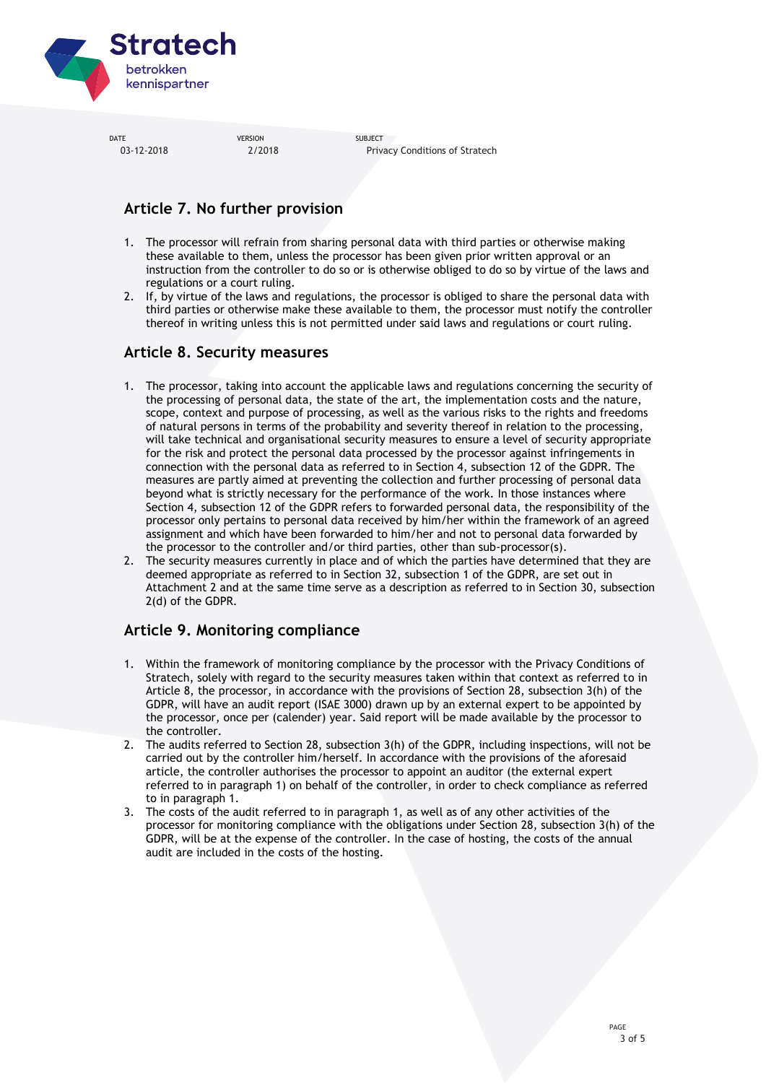

DATE SUBJECT SERVICES SUBJECT SUBJECT 03-12-2018 2/2018 Privacy Conditions of Stratech

# **Article 7. No further provision**

- 1. The processor will refrain from sharing personal data with third parties or otherwise making these available to them, unless the processor has been given prior written approval or an instruction from the controller to do so or is otherwise obliged to do so by virtue of the laws and regulations or a court ruling.
- 2. If, by virtue of the laws and regulations, the processor is obliged to share the personal data with third parties or otherwise make these available to them, the processor must notify the controller thereof in writing unless this is not permitted under said laws and regulations or court ruling.

## **Article 8. Security measures**

- 1. The processor, taking into account the applicable laws and regulations concerning the security of the processing of personal data, the state of the art, the implementation costs and the nature, scope, context and purpose of processing, as well as the various risks to the rights and freedoms of natural persons in terms of the probability and severity thereof in relation to the processing, will take technical and organisational security measures to ensure a level of security appropriate for the risk and protect the personal data processed by the processor against infringements in connection with the personal data as referred to in Section 4, subsection 12 of the GDPR. The measures are partly aimed at preventing the collection and further processing of personal data beyond what is strictly necessary for the performance of the work. In those instances where Section 4, subsection 12 of the GDPR refers to forwarded personal data, the responsibility of the processor only pertains to personal data received by him/her within the framework of an agreed assignment and which have been forwarded to him/her and not to personal data forwarded by the processor to the controller and/or third parties, other than sub-processor(s).
- 2. The security measures currently in place and of which the parties have determined that they are deemed appropriate as referred to in Section 32, subsection 1 of the GDPR, are set out in Attachment 2 and at the same time serve as a description as referred to in Section 30, subsection 2(d) of the GDPR.

# **Article 9. Monitoring compliance**

- 1. Within the framework of monitoring compliance by the processor with the Privacy Conditions of Stratech, solely with regard to the security measures taken within that context as referred to in Article 8, the processor, in accordance with the provisions of Section 28, subsection 3(h) of the GDPR, will have an audit report (ISAE 3000) drawn up by an external expert to be appointed by the processor, once per (calender) year. Said report will be made available by the processor to the controller.
- 2. The audits referred to Section 28, subsection 3(h) of the GDPR, including inspections, will not be carried out by the controller him/herself. In accordance with the provisions of the aforesaid article, the controller authorises the processor to appoint an auditor (the external expert referred to in paragraph 1) on behalf of the controller, in order to check compliance as referred to in paragraph 1.
- 3. The costs of the audit referred to in paragraph 1, as well as of any other activities of the processor for monitoring compliance with the obligations under Section 28, subsection 3(h) of the GDPR, will be at the expense of the controller. In the case of hosting, the costs of the annual audit are included in the costs of the hosting.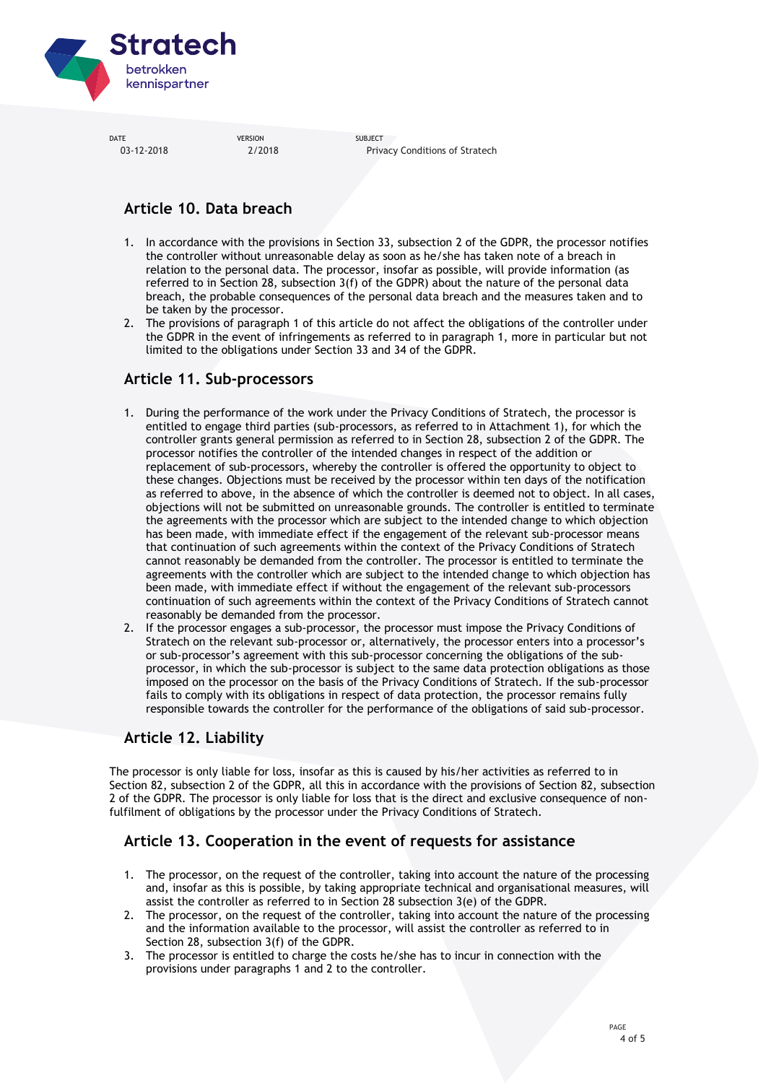

03-12-2018 2/2018 Privacy Conditions of Stratech

# **Article 10. Data breach**

- 1. In accordance with the provisions in Section 33, subsection 2 of the GDPR, the processor notifies the controller without unreasonable delay as soon as he/she has taken note of a breach in relation to the personal data. The processor, insofar as possible, will provide information (as referred to in Section 28, subsection 3(f) of the GDPR) about the nature of the personal data breach, the probable consequences of the personal data breach and the measures taken and to be taken by the processor.
- 2. The provisions of paragraph 1 of this article do not affect the obligations of the controller under the GDPR in the event of infringements as referred to in paragraph 1, more in particular but not limited to the obligations under Section 33 and 34 of the GDPR.

## **Article 11. Sub-processors**

- 1. During the performance of the work under the Privacy Conditions of Stratech, the processor is entitled to engage third parties (sub-processors, as referred to in Attachment 1), for which the controller grants general permission as referred to in Section 28, subsection 2 of the GDPR. The processor notifies the controller of the intended changes in respect of the addition or replacement of sub-processors, whereby the controller is offered the opportunity to object to these changes. Objections must be received by the processor within ten days of the notification as referred to above, in the absence of which the controller is deemed not to object. In all cases, objections will not be submitted on unreasonable grounds. The controller is entitled to terminate the agreements with the processor which are subject to the intended change to which objection has been made, with immediate effect if the engagement of the relevant sub-processor means that continuation of such agreements within the context of the Privacy Conditions of Stratech cannot reasonably be demanded from the controller. The processor is entitled to terminate the agreements with the controller which are subject to the intended change to which objection has been made, with immediate effect if without the engagement of the relevant sub-processors continuation of such agreements within the context of the Privacy Conditions of Stratech cannot reasonably be demanded from the processor.
- 2. If the processor engages a sub-processor, the processor must impose the Privacy Conditions of Stratech on the relevant sub-processor or, alternatively, the processor enters into a processor's or sub-processor's agreement with this sub-processor concerning the obligations of the subprocessor, in which the sub-processor is subject to the same data protection obligations as those imposed on the processor on the basis of the Privacy Conditions of Stratech. If the sub-processor fails to comply with its obligations in respect of data protection, the processor remains fully responsible towards the controller for the performance of the obligations of said sub-processor.

## **Article 12. Liability**

The processor is only liable for loss, insofar as this is caused by his/her activities as referred to in Section 82, subsection 2 of the GDPR, all this in accordance with the provisions of Section 82, subsection 2 of the GDPR. The processor is only liable for loss that is the direct and exclusive consequence of nonfulfilment of obligations by the processor under the Privacy Conditions of Stratech.

### **Article 13. Cooperation in the event of requests for assistance**

- 1. The processor, on the request of the controller, taking into account the nature of the processing and, insofar as this is possible, by taking appropriate technical and organisational measures, will assist the controller as referred to in Section 28 subsection 3(e) of the GDPR.
- 2. The processor, on the request of the controller, taking into account the nature of the processing and the information available to the processor, will assist the controller as referred to in Section 28, subsection 3(f) of the GDPR.
- 3. The processor is entitled to charge the costs he/she has to incur in connection with the provisions under paragraphs 1 and 2 to the controller.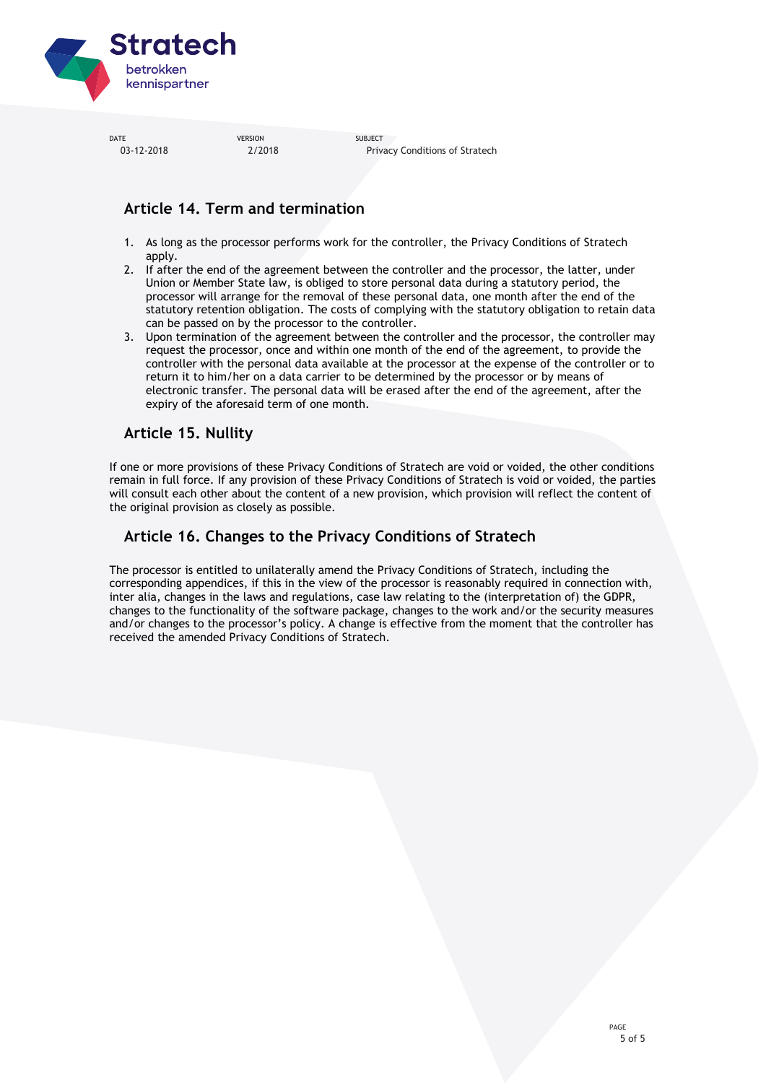

DATE SUBJECT SERVICES SUBJECT SUBJECT 03-12-2018 2/2018 Privacy Conditions of Stratech

## **Article 14. Term and termination**

- 1. As long as the processor performs work for the controller, the Privacy Conditions of Stratech apply.
- 2. If after the end of the agreement between the controller and the processor, the latter, under Union or Member State law, is obliged to store personal data during a statutory period, the processor will arrange for the removal of these personal data, one month after the end of the statutory retention obligation. The costs of complying with the statutory obligation to retain data can be passed on by the processor to the controller.
- 3. Upon termination of the agreement between the controller and the processor, the controller may request the processor, once and within one month of the end of the agreement, to provide the controller with the personal data available at the processor at the expense of the controller or to return it to him/her on a data carrier to be determined by the processor or by means of electronic transfer. The personal data will be erased after the end of the agreement, after the expiry of the aforesaid term of one month.

### **Article 15. Nullity**

If one or more provisions of these Privacy Conditions of Stratech are void or voided, the other conditions remain in full force. If any provision of these Privacy Conditions of Stratech is void or voided, the parties will consult each other about the content of a new provision, which provision will reflect the content of the original provision as closely as possible.

## **Article 16. Changes to the Privacy Conditions of Stratech**

The processor is entitled to unilaterally amend the Privacy Conditions of Stratech, including the corresponding appendices, if this in the view of the processor is reasonably required in connection with, inter alia, changes in the laws and regulations, case law relating to the (interpretation of) the GDPR, changes to the functionality of the software package, changes to the work and/or the security measures and/or changes to the processor's policy. A change is effective from the moment that the controller has received the amended Privacy Conditions of Stratech.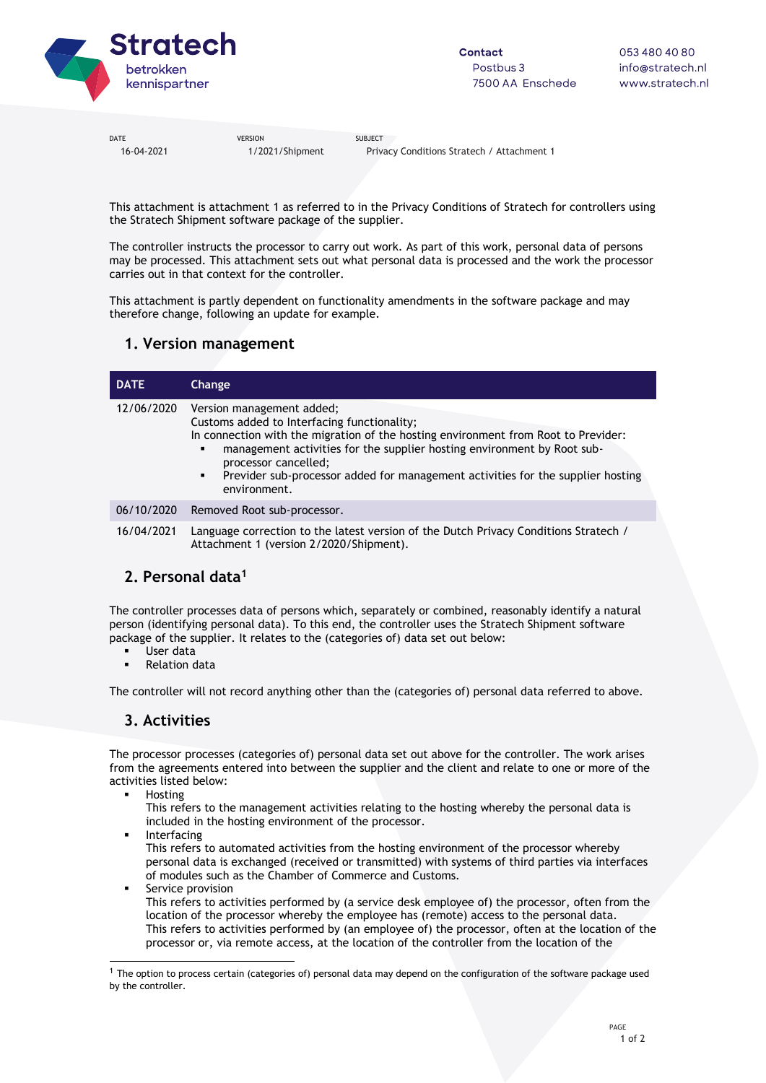

16-04-2021 1/2021/Shipment Privacy Conditions Stratech / Attachment 1

This attachment is attachment 1 as referred to in the Privacy Conditions of Stratech for controllers using the Stratech Shipment software package of the supplier.

The controller instructs the processor to carry out work. As part of this work, personal data of persons may be processed. This attachment sets out what personal data is processed and the work the processor carries out in that context for the controller.

This attachment is partly dependent on functionality amendments in the software package and may therefore change, following an update for example.

### **1. Version management**

| <b>DATE</b> | Change                                                                                                                                                                                                                                                                                                                                                                                                            |
|-------------|-------------------------------------------------------------------------------------------------------------------------------------------------------------------------------------------------------------------------------------------------------------------------------------------------------------------------------------------------------------------------------------------------------------------|
| 12/06/2020  | Version management added;<br>Customs added to Interfacing functionality;<br>In connection with the migration of the hosting environment from Root to Previder:<br>management activities for the supplier hosting environment by Root sub-<br>٠<br>processor cancelled;<br>Previder sub-processor added for management activities for the supplier hosting<br>$\mathbf{E} = \mathbf{E} \mathbf{E}$<br>environment. |
| 06/10/2020  | Removed Root sub-processor.                                                                                                                                                                                                                                                                                                                                                                                       |
| 16/04/2021  | Language correction to the latest version of the Dutch Privacy Conditions Stratech /<br>Attachment 1 (version 2/2020/Shipment).                                                                                                                                                                                                                                                                                   |

### **2. Personal data<sup>1</sup>**

The controller processes data of persons which, separately or combined, reasonably identify a natural person (identifying personal data). To this end, the controller uses the Stratech Shipment software package of the supplier. It relates to the (categories of) data set out below:

- User data
- Relation data

The controller will not record anything other than the (categories of) personal data referred to above.

### **3. Activities**

The processor processes (categories of) personal data set out above for the controller. The work arises from the agreements entered into between the supplier and the client and relate to one or more of the activities listed below:

Hosting

 $\overline{a}$ 

- This refers to the management activities relating to the hosting whereby the personal data is included in the hosting environment of the processor.
- Interfacing This refers to automated activities from the hosting environment of the processor whereby personal data is exchanged (received or transmitted) with systems of third parties via interfaces of modules such as the Chamber of Commerce and Customs.
	- Service provision This refers to activities performed by (a service desk employee of) the processor, often from the location of the processor whereby the employee has (remote) access to the personal data. This refers to activities performed by (an employee of) the processor, often at the location of the processor or, via remote access, at the location of the controller from the location of the

 $1$  The option to process certain (categories of) personal data may depend on the configuration of the software package used by the controller.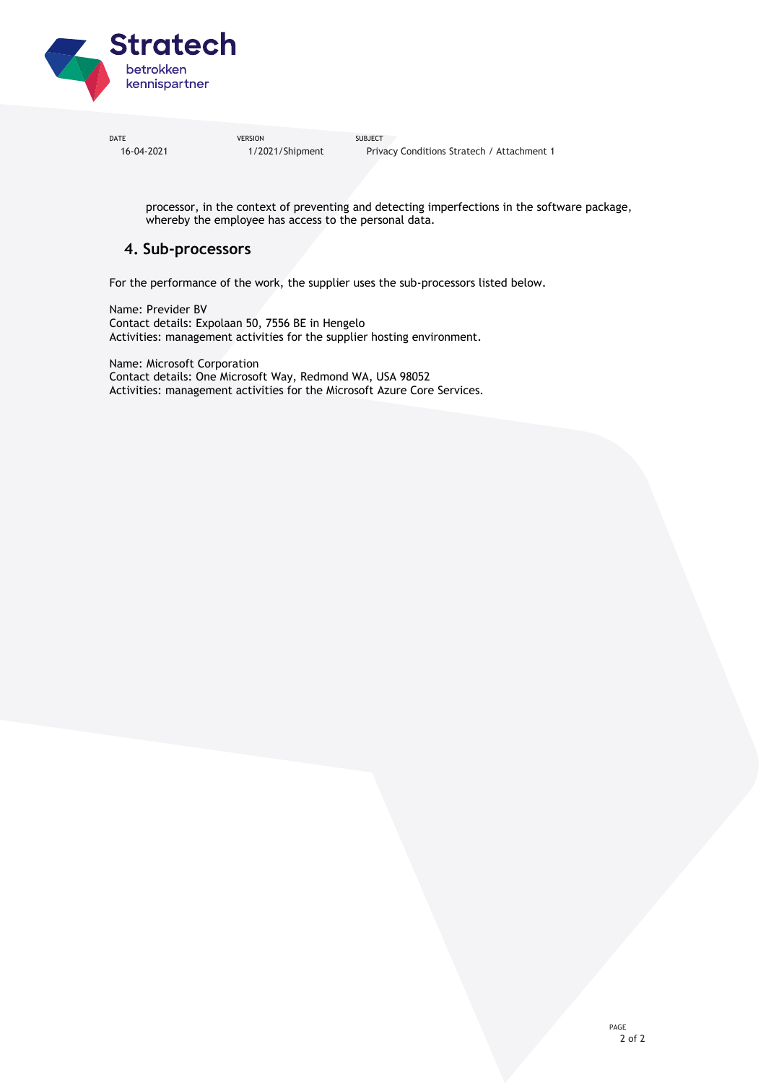

DATE SUBJECT SERVICES SUBJECT SUBJECT 16-04-2021 1/2021/Shipment Privacy Conditions Stratech / Attachment 1

processor, in the context of preventing and detecting imperfections in the software package, whereby the employee has access to the personal data.

### **4. Sub-processors**

For the performance of the work, the supplier uses the sub-processors listed below.

Name: Previder BV Contact details: Expolaan 50, 7556 BE in Hengelo Activities: management activities for the supplier hosting environment.

Name: Microsoft Corporation Contact details: One Microsoft Way, Redmond WA, USA 98052 Activities: management activities for the Microsoft Azure Core Services.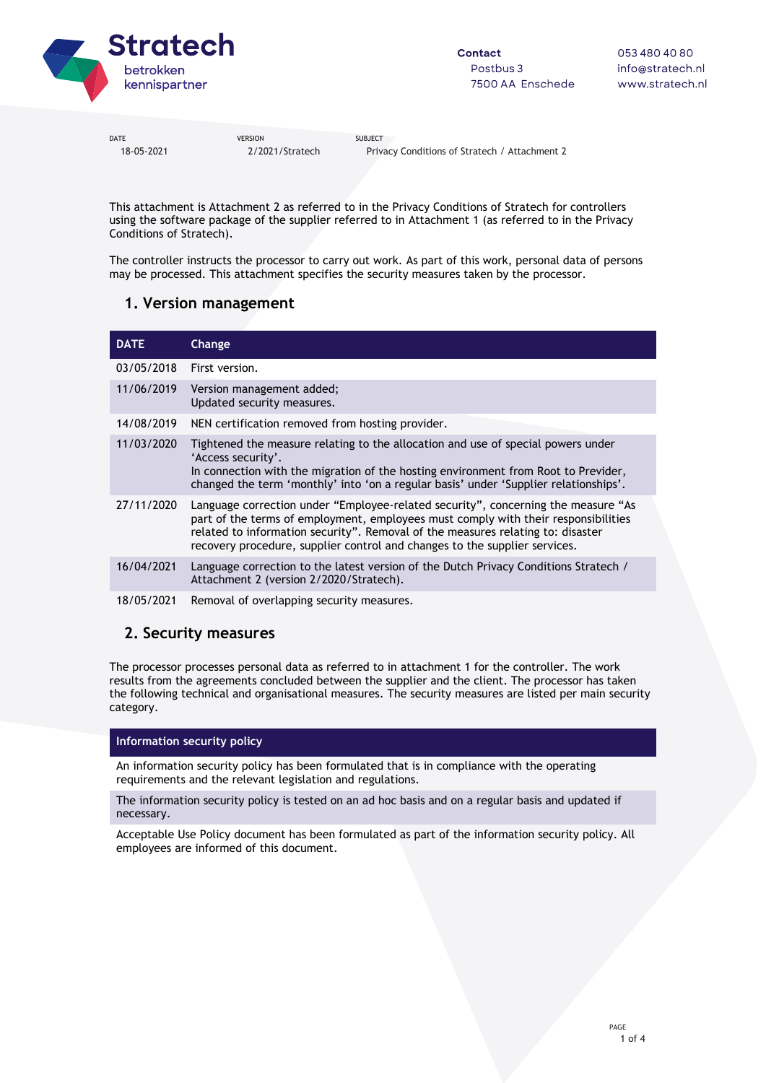

18-05-2021 2/2021/Stratech Privacy Conditions of Stratech / Attachment 2

This attachment is Attachment 2 as referred to in the Privacy Conditions of Stratech for controllers using the software package of the supplier referred to in Attachment 1 (as referred to in the Privacy Conditions of Stratech).

The controller instructs the processor to carry out work. As part of this work, personal data of persons may be processed. This attachment specifies the security measures taken by the processor.

### **1. Version management**

| <b>DATE</b> | Change                                                                                                                                                                                                                                                                                                                                   |
|-------------|------------------------------------------------------------------------------------------------------------------------------------------------------------------------------------------------------------------------------------------------------------------------------------------------------------------------------------------|
| 03/05/2018  | First version.                                                                                                                                                                                                                                                                                                                           |
| 11/06/2019  | Version management added;<br>Updated security measures.                                                                                                                                                                                                                                                                                  |
| 14/08/2019  | NEN certification removed from hosting provider.                                                                                                                                                                                                                                                                                         |
| 11/03/2020  | Tightened the measure relating to the allocation and use of special powers under<br>'Access security'.<br>In connection with the migration of the hosting environment from Root to Previder,<br>changed the term 'monthly' into 'on a regular basis' under 'Supplier relationships'.                                                     |
| 27/11/2020  | Language correction under "Employee-related security", concerning the measure "As<br>part of the terms of employment, employees must comply with their responsibilities<br>related to information security". Removal of the measures relating to: disaster<br>recovery procedure, supplier control and changes to the supplier services. |
| 16/04/2021  | Language correction to the latest version of the Dutch Privacy Conditions Stratech /<br>Attachment 2 (version 2/2020/Stratech).                                                                                                                                                                                                          |
| 18/05/2021  | Removal of overlapping security measures.                                                                                                                                                                                                                                                                                                |

### **2. Security measures**

The processor processes personal data as referred to in attachment 1 for the controller. The work results from the agreements concluded between the supplier and the client. The processor has taken the following technical and organisational measures. The security measures are listed per main security category.

### **Information security policy**

An information security policy has been formulated that is in compliance with the operating requirements and the relevant legislation and regulations.

The information security policy is tested on an ad hoc basis and on a regular basis and updated if necessary.

Acceptable Use Policy document has been formulated as part of the information security policy. All employees are informed of this document.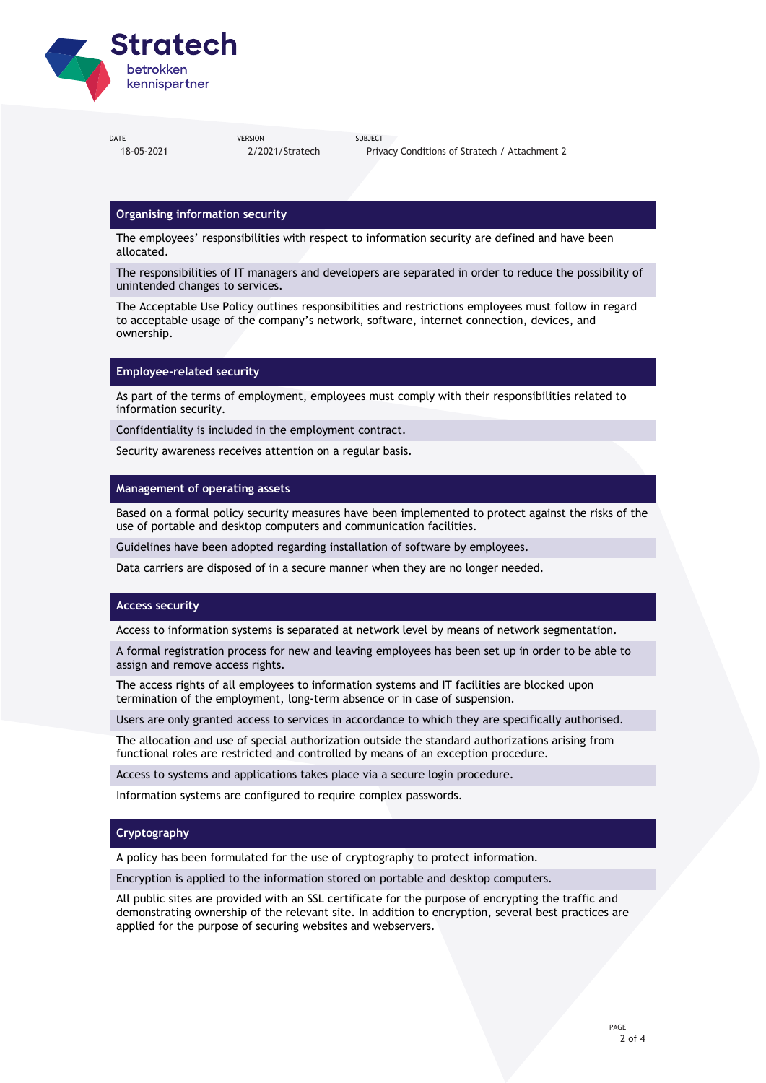

18-05-2021 2/2021/Stratech Privacy Conditions of Stratech / Attachment 2

### **Organising information security**

The employees' responsibilities with respect to information security are defined and have been allocated.

The responsibilities of IT managers and developers are separated in order to reduce the possibility of unintended changes to services.

The Acceptable Use Policy outlines responsibilities and restrictions employees must follow in regard to acceptable usage of the company's network, software, internet connection, devices, and ownership.

#### **Employee-related security**

As part of the terms of employment, employees must comply with their responsibilities related to information security.

Confidentiality is included in the employment contract.

Security awareness receives attention on a regular basis.

#### **Management of operating assets**

Based on a formal policy security measures have been implemented to protect against the risks of the use of portable and desktop computers and communication facilities.

Guidelines have been adopted regarding installation of software by employees.

Data carriers are disposed of in a secure manner when they are no longer needed.

#### **Access security**

Access to information systems is separated at network level by means of network segmentation.

A formal registration process for new and leaving employees has been set up in order to be able to assign and remove access rights.

The access rights of all employees to information systems and IT facilities are blocked upon termination of the employment, long-term absence or in case of suspension.

Users are only granted access to services in accordance to which they are specifically authorised.

The allocation and use of special authorization outside the standard authorizations arising from functional roles are restricted and controlled by means of an exception procedure.

Access to systems and applications takes place via a secure login procedure.

Information systems are configured to require complex passwords.

#### **Cryptography**

A policy has been formulated for the use of cryptography to protect information.

Encryption is applied to the information stored on portable and desktop computers.

All public sites are provided with an SSL certificate for the purpose of encrypting the traffic and demonstrating ownership of the relevant site. In addition to encryption, several best practices are applied for the purpose of securing websites and webservers.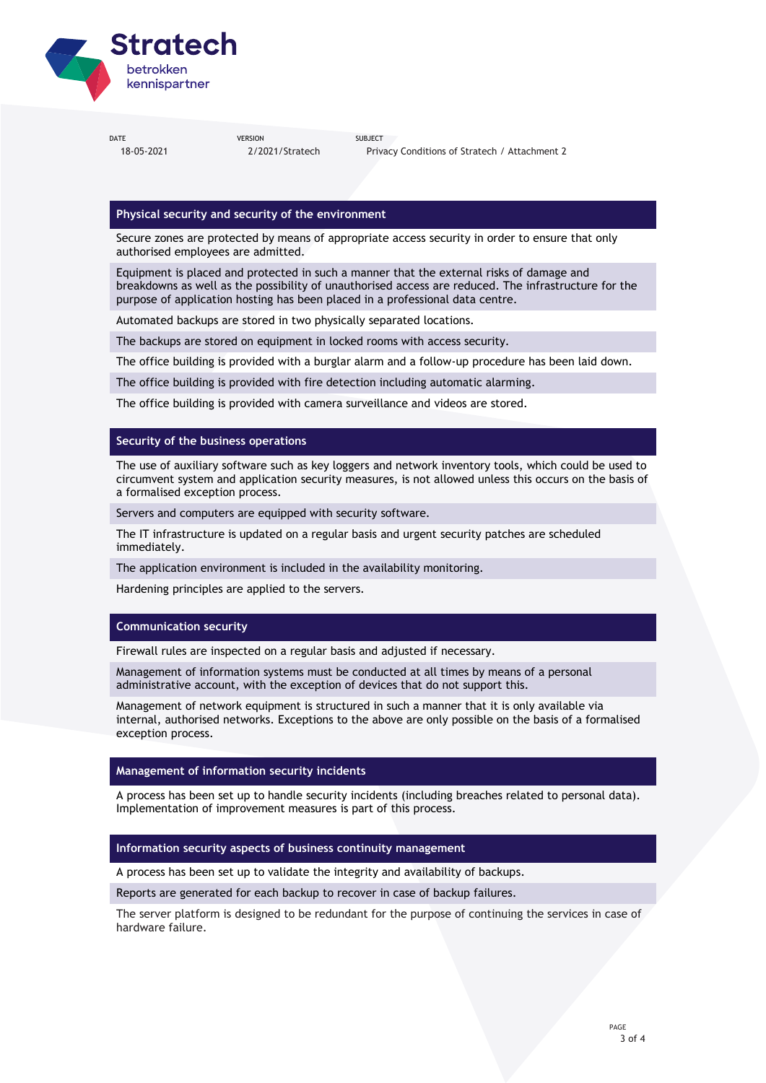

18-05-2021 2/2021/Stratech Privacy Conditions of Stratech / Attachment 2

### **Physical security and security of the environment**

Secure zones are protected by means of appropriate access security in order to ensure that only authorised employees are admitted.

Equipment is placed and protected in such a manner that the external risks of damage and breakdowns as well as the possibility of unauthorised access are reduced. The infrastructure for the purpose of application hosting has been placed in a professional data centre.

Automated backups are stored in two physically separated locations.

The backups are stored on equipment in locked rooms with access security.

The office building is provided with a burglar alarm and a follow-up procedure has been laid down.

The office building is provided with fire detection including automatic alarming.

The office building is provided with camera surveillance and videos are stored.

#### **Security of the business operations**

The use of auxiliary software such as key loggers and network inventory tools, which could be used to circumvent system and application security measures, is not allowed unless this occurs on the basis of a formalised exception process.

Servers and computers are equipped with security software.

The IT infrastructure is updated on a regular basis and urgent security patches are scheduled immediately.

The application environment is included in the availability monitoring.

Hardening principles are applied to the servers.

#### **Communication security**

Firewall rules are inspected on a regular basis and adjusted if necessary.

Management of information systems must be conducted at all times by means of a personal administrative account, with the exception of devices that do not support this.

Management of network equipment is structured in such a manner that it is only available via internal, authorised networks. Exceptions to the above are only possible on the basis of a formalised exception process.

#### **Management of information security incidents**

A process has been set up to handle security incidents (including breaches related to personal data). Implementation of improvement measures is part of this process.

#### **Information security aspects of business continuity management**

A process has been set up to validate the integrity and availability of backups.

Reports are generated for each backup to recover in case of backup failures.

The server platform is designed to be redundant for the purpose of continuing the services in case of hardware failure.